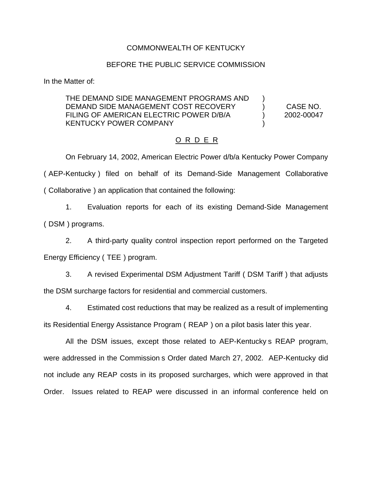# COMMONWEALTH OF KENTUCKY

#### BEFORE THE PUBLIC SERVICE COMMISSION

In the Matter of:

# THE DEMAND SIDE MANAGEMENT PROGRAMS AND DEMAND SIDE MANAGEMENT COST RECOVERY (CASE NO. FILING OF AMERICAN ELECTRIC POWER D/B/A  $2002-00047$ KENTUCKY POWER COMPANY

# O R D E R

On February 14, 2002, American Electric Power d/b/a Kentucky Power Company ( AEP-Kentucky ) filed on behalf of its Demand-Side Management Collaborative ( Collaborative ) an application that contained the following:

1. Evaluation reports for each of its existing Demand-Side Management ( DSM ) programs.

2. A third-party quality control inspection report performed on the Targeted Energy Efficiency ( TEE ) program.

3. A revised Experimental DSM Adjustment Tariff ( DSM Tariff ) that adjusts the DSM surcharge factors for residential and commercial customers.

4. Estimated cost reductions that may be realized as a result of implementing its Residential Energy Assistance Program ( REAP ) on a pilot basis later this year.

All the DSM issues, except those related to AEP-Kentucky s REAP program, were addressed in the Commission s Order dated March 27, 2002. AEP-Kentucky did not include any REAP costs in its proposed surcharges, which were approved in that Order. Issues related to REAP were discussed in an informal conference held on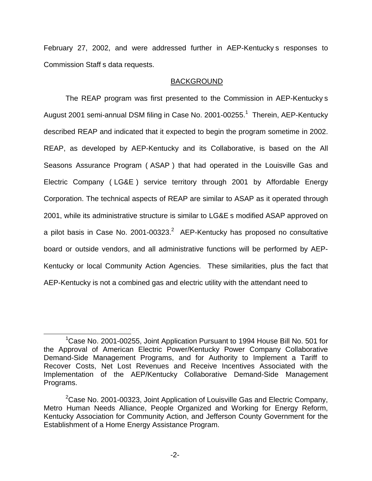February 27, 2002, and were addressed further in AEP-Kentucky s responses to Commission Staff s data requests.

# BACKGROUND

The REAP program was first presented to the Commission in AEP-Kentucky s August 2001 semi-annual DSM filing in Case No. 2001-00255.<sup>1</sup> Therein, AEP-Kentucky described REAP and indicated that it expected to begin the program sometime in 2002. REAP, as developed by AEP-Kentucky and its Collaborative, is based on the All Seasons Assurance Program ( ASAP ) that had operated in the Louisville Gas and Electric Company ( LG&E ) service territory through 2001 by Affordable Energy Corporation. The technical aspects of REAP are similar to ASAP as it operated through 2001, while its administrative structure is similar to LG&E s modified ASAP approved on a pilot basis in Case No.  $2001$ -00323. $^2$  AEP-Kentucky has proposed no consultative board or outside vendors, and all administrative functions will be performed by AEP-Kentucky or local Community Action Agencies. These similarities, plus the fact that AEP-Kentucky is not a combined gas and electric utility with the attendant need to

<sup>&</sup>lt;sup>1</sup>Case No. 2001-00255, Joint Application Pursuant to 1994 House Bill No. 501 for the Approval of American Electric Power/Kentucky Power Company Collaborative Demand-Side Management Programs, and for Authority to Implement a Tariff to Recover Costs, Net Lost Revenues and Receive Incentives Associated with the Implementation of the AEP/Kentucky Collaborative Demand-Side Management Programs.

<sup>&</sup>lt;sup>2</sup>Case No. 2001-00323, Joint Application of Louisville Gas and Electric Company, Metro Human Needs Alliance, People Organized and Working for Energy Reform, Kentucky Association for Community Action, and Jefferson County Government for the Establishment of a Home Energy Assistance Program.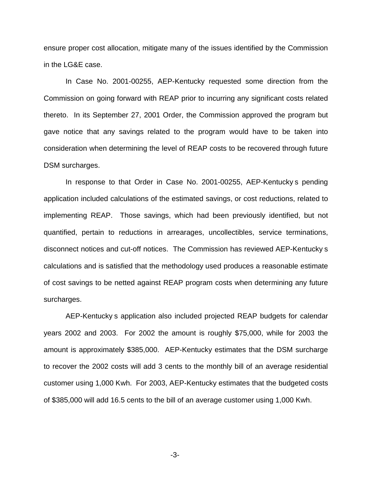ensure proper cost allocation, mitigate many of the issues identified by the Commission in the LG&E case.

In Case No. 2001-00255, AEP-Kentucky requested some direction from the Commission on going forward with REAP prior to incurring any significant costs related thereto. In its September 27, 2001 Order, the Commission approved the program but gave notice that any savings related to the program would have to be taken into consideration when determining the level of REAP costs to be recovered through future DSM surcharges.

In response to that Order in Case No. 2001-00255, AEP-Kentucky s pending application included calculations of the estimated savings, or cost reductions, related to implementing REAP. Those savings, which had been previously identified, but not quantified, pertain to reductions in arrearages, uncollectibles, service terminations, disconnect notices and cut-off notices. The Commission has reviewed AEP-Kentucky s calculations and is satisfied that the methodology used produces a reasonable estimate of cost savings to be netted against REAP program costs when determining any future surcharges.

AEP-Kentucky s application also included projected REAP budgets for calendar years 2002 and 2003. For 2002 the amount is roughly \$75,000, while for 2003 the amount is approximately \$385,000. AEP-Kentucky estimates that the DSM surcharge to recover the 2002 costs will add 3 cents to the monthly bill of an average residential customer using 1,000 Kwh. For 2003, AEP-Kentucky estimates that the budgeted costs of \$385,000 will add 16.5 cents to the bill of an average customer using 1,000 Kwh.

-3-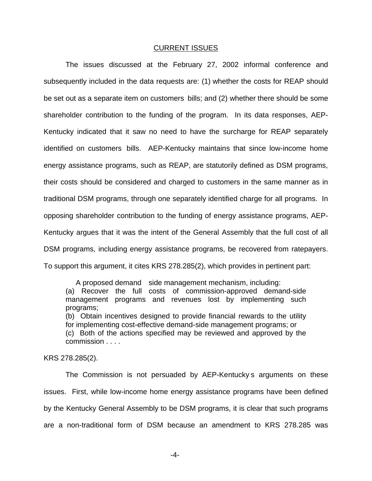#### CURRENT ISSUES

The issues discussed at the February 27, 2002 informal conference and subsequently included in the data requests are: (1) whether the costs for REAP should be set out as a separate item on customers bills; and (2) whether there should be some shareholder contribution to the funding of the program. In its data responses, AEP-Kentucky indicated that it saw no need to have the surcharge for REAP separately identified on customers bills. AEP-Kentucky maintains that since low-income home energy assistance programs, such as REAP, are statutorily defined as DSM programs, their costs should be considered and charged to customers in the same manner as in traditional DSM programs, through one separately identified charge for all programs. In opposing shareholder contribution to the funding of energy assistance programs, AEP-Kentucky argues that it was the intent of the General Assembly that the full cost of all DSM programs, including energy assistance programs, be recovered from ratepayers. To support this argument, it cites KRS 278.285(2), which provides in pertinent part:

A proposed demand side management mechanism, including: (a) Recover the full costs of commission-approved demand-side management programs and revenues lost by implementing such programs; (b) Obtain incentives designed to provide financial rewards to the utility

for implementing cost-effective demand-side management programs; or (c) Both of the actions specified may be reviewed and approved by the commission . . . .

KRS 278.285(2).

The Commission is not persuaded by AEP-Kentucky s arguments on these issues. First, while low-income home energy assistance programs have been defined by the Kentucky General Assembly to be DSM programs, it is clear that such programs are a non-traditional form of DSM because an amendment to KRS 278.285 was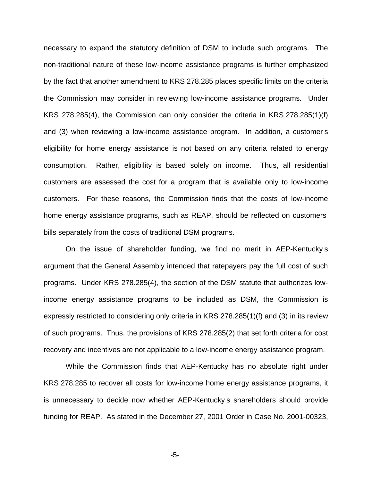necessary to expand the statutory definition of DSM to include such programs. The non-traditional nature of these low-income assistance programs is further emphasized by the fact that another amendment to KRS 278.285 places specific limits on the criteria the Commission may consider in reviewing low-income assistance programs. Under KRS 278.285(4), the Commission can only consider the criteria in KRS 278.285(1)(f) and (3) when reviewing a low-income assistance program. In addition, a customer s eligibility for home energy assistance is not based on any criteria related to energy consumption. Rather, eligibility is based solely on income. Thus, all residential customers are assessed the cost for a program that is available only to low-income customers. For these reasons, the Commission finds that the costs of low-income home energy assistance programs, such as REAP, should be reflected on customers bills separately from the costs of traditional DSM programs.

On the issue of shareholder funding, we find no merit in AEP-Kentucky s argument that the General Assembly intended that ratepayers pay the full cost of such programs. Under KRS 278.285(4), the section of the DSM statute that authorizes lowincome energy assistance programs to be included as DSM, the Commission is expressly restricted to considering only criteria in KRS 278.285(1)(f) and (3) in its review of such programs. Thus, the provisions of KRS 278.285(2) that set forth criteria for cost recovery and incentives are not applicable to a low-income energy assistance program.

While the Commission finds that AEP-Kentucky has no absolute right under KRS 278.285 to recover all costs for low-income home energy assistance programs, it is unnecessary to decide now whether AEP-Kentucky s shareholders should provide funding for REAP. As stated in the December 27, 2001 Order in Case No. 2001-00323,

-5-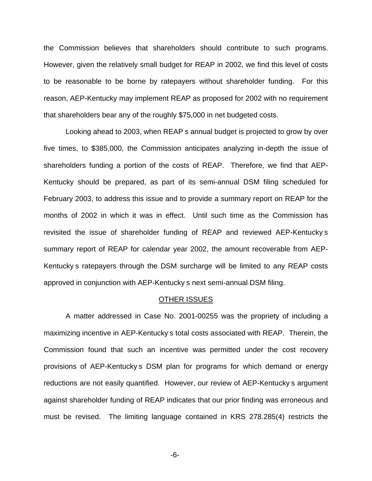the Commission believes that shareholders should contribute to such programs. However, given the relatively small budget for REAP in 2002, we find this level of costs to be reasonable to be borne by ratepayers without shareholder funding. For this reason, AEP-Kentucky may implement REAP as proposed for 2002 with no requirement that shareholders bear any of the roughly \$75,000 in net budgeted costs.

Looking ahead to 2003, when REAP s annual budget is projected to grow by over five times, to \$385,000, the Commission anticipates analyzing in-depth the issue of shareholders funding a portion of the costs of REAP. Therefore, we find that AEP-Kentucky should be prepared, as part of its semi-annual DSM filing scheduled for February 2003, to address this issue and to provide a summary report on REAP for the months of 2002 in which it was in effect. Until such time as the Commission has revisited the issue of shareholder funding of REAP and reviewed AEP-Kentucky s summary report of REAP for calendar year 2002, the amount recoverable from AEP-Kentucky s ratepayers through the DSM surcharge will be limited to any REAP costs approved in conjunction with AEP-Kentucky s next semi-annual DSM filing.

#### OTHER ISSUES

A matter addressed in Case No. 2001-00255 was the propriety of including a maximizing incentive in AEP-Kentucky s total costs associated with REAP. Therein, the Commission found that such an incentive was permitted under the cost recovery provisions of AEP-Kentucky s DSM plan for programs for which demand or energy reductions are not easily quantified. However, our review of AEP-Kentucky s argument against shareholder funding of REAP indicates that our prior finding was erroneous and must be revised. The limiting language contained in KRS 278.285(4) restricts the

-6-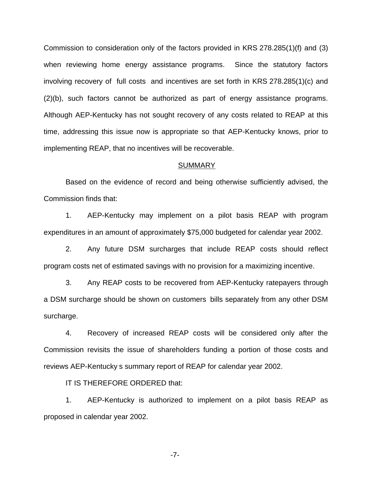Commission to consideration only of the factors provided in KRS 278.285(1)(f) and (3) when reviewing home energy assistance programs. Since the statutory factors involving recovery of full costs and incentives are set forth in KRS 278.285(1)(c) and (2)(b), such factors cannot be authorized as part of energy assistance programs. Although AEP-Kentucky has not sought recovery of any costs related to REAP at this time, addressing this issue now is appropriate so that AEP-Kentucky knows, prior to implementing REAP, that no incentives will be recoverable.

#### **SUMMARY**

Based on the evidence of record and being otherwise sufficiently advised, the Commission finds that:

1. AEP-Kentucky may implement on a pilot basis REAP with program expenditures in an amount of approximately \$75,000 budgeted for calendar year 2002.

2. Any future DSM surcharges that include REAP costs should reflect program costs net of estimated savings with no provision for a maximizing incentive.

3. Any REAP costs to be recovered from AEP-Kentucky ratepayers through a DSM surcharge should be shown on customers bills separately from any other DSM surcharge.

4. Recovery of increased REAP costs will be considered only after the Commission revisits the issue of shareholders funding a portion of those costs and reviews AEP-Kentucky s summary report of REAP for calendar year 2002.

IT IS THEREFORE ORDERED that:

1. AEP-Kentucky is authorized to implement on a pilot basis REAP as proposed in calendar year 2002.

-7-